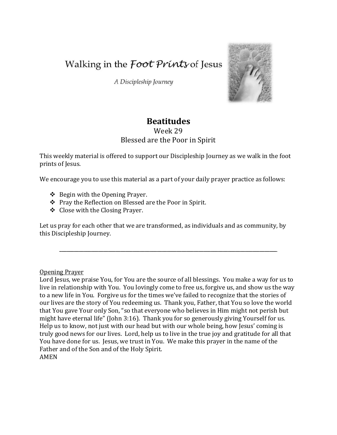Walking in the *Foot Prints* of Jesus

A Discipleship Journey



## **Beatitudes**

## Week 29 Blessed are the Poor in Spirit

This weekly material is offered to support our Discipleship Journey as we walk in the foot prints of Jesus.

We encourage you to use this material as a part of your daily prayer practice as follows:

- $\triangle$  Begin with the Opening Prayer.
- Pray the Reflection on Blessed are the Poor in Spirit.
- Close with the Closing Prayer.

Let us pray for each other that we are transformed, as individuals and as community, by this Discipleship Journey.

\_\_\_\_\_\_\_\_\_\_\_\_\_\_\_\_\_\_\_\_\_\_\_\_\_\_\_\_\_\_\_\_\_\_\_\_\_\_\_\_\_\_\_\_\_\_\_\_\_\_\_\_\_\_\_\_\_\_\_\_\_\_\_\_\_\_\_\_\_\_\_\_\_\_\_\_\_\_\_\_\_\_\_\_\_\_\_\_\_

Opening Prayer

Lord Jesus, we praise You, for You are the source of all blessings. You make a way for us to live in relationship with You. You lovingly come to free us, forgive us, and show us the way to a new life in You. Forgive us for the times we've failed to recognize that the stories of our lives are the story of You redeeming us. Thank you, Father, that You so love the world that You gave Your only Son, "so that everyone who believes in Him might not perish but might have eternal life" (John 3:16). Thank you for so generously giving Yourself for us. Help us to know, not just with our head but with our whole being, how Jesus' coming is truly good news for our lives. Lord, help us to live in the true joy and gratitude for all that You have done for us. Jesus, we trust in You. We make this prayer in the name of the Father and of the Son and of the Holy Spirit. AMEN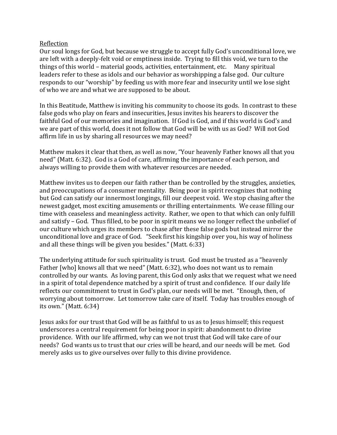## Reflection

Our soul longs for God, but because we struggle to accept fully God's unconditional love, we are left with a deeply-felt void or emptiness inside. Trying to fill this void, we turn to the things of this world – material goods, activities, entertainment, etc. Many spiritual leaders refer to these as idols and our behavior as worshipping a false god. Our culture responds to our "worship" by feeding us with more fear and insecurity until we lose sight of who we are and what we are supposed to be about.

In this Beatitude, Matthew is inviting his community to choose its gods. In contrast to these false gods who play on fears and insecurities, Jesus invites his hearers to discover the faithful God of our memories and imagination. If God is God, and if this world is God's and we are part of this world, does it not follow that God will be with us as God? Will not God affirm life in us by sharing all resources we may need?

Matthew makes it clear that then, as well as now, "Your heavenly Father knows all that you need" (Matt. 6:32). God is a God of care, affirming the importance of each person, and always willing to provide them with whatever resources are needed.

Matthew invites us to deepen our faith rather than be controlled by the struggles, anxieties, and preoccupations of a consumer mentality. Being poor in spirit recognizes that nothing but God can satisfy our innermost longings, fill our deepest void. We stop chasing after the newest gadget, most exciting amusements or thrilling entertainments. We cease filling our time with ceaseless and meaningless activity. Rather, we open to that which can only fulfill and satisfy – God. Thus filled, to be poor in spirit means we no longer reflect the unbelief of our culture which urges its members to chase after these false gods but instead mirror the unconditional love and grace of God. "Seek first his kingship over you, his way of holiness and all these things will be given you besides." (Matt. 6:33)

The underlying attitude for such spirituality is trust. God must be trusted as a "heavenly Father [who] knows all that we need" (Matt. 6:32), who does not want us to remain controlled by our wants. As loving parent, this God only asks that we request what we need in a spirit of total dependence matched by a spirit of trust and confidence. If our daily life reflects our commitment to trust in God's plan, our needs will be met. "Enough, then, of worrying about tomorrow. Let tomorrow take care of itself. Today has troubles enough of its own." (Matt. 6:34)

Jesus asks for our trust that God will be as faithful to us as to Jesus himself; this request underscores a central requirement for being poor in spirit: abandonment to divine providence. With our life affirmed, why can we not trust that God will take care of our needs? God wants us to trust that our cries will be heard, and our needs will be met. God merely asks us to give ourselves over fully to this divine providence.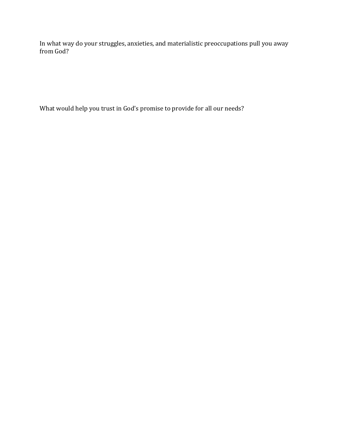In what way do your struggles, anxieties, and materialistic preoccupations pull you away from God?

What would help you trust in God's promise to provide for all our needs?